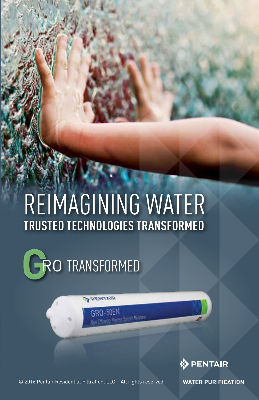### REIMAGINING WATER **TRUSTED TECHNOLOGIES TRANSFORMED**

RO TRANSFORMED

RIATHER



© 2016 Pentair Residential Filtration, LLC. All rights reserved.

**WATER PURIFICATION**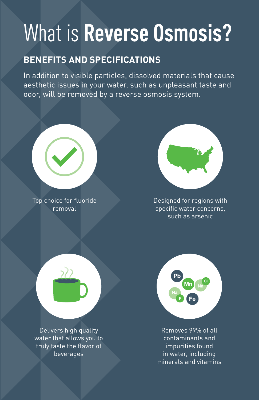## What is **Reverse Osmosis?**

#### **BENEFITS AND SPECIFICATIONS**

In addition to visible particles, dissolved materials that cause aesthetic issues in your water, such as unpleasant taste and odor, will be removed by a reverse osmosis system.



Top choice for fluoride removal



Designed for regions with specific water concerns, such as arsenic



Delivers high quality water that allows you to truly taste the flavor of beverages



Removes 99% of all contaminants and impurities found in water, including minerals and vitamins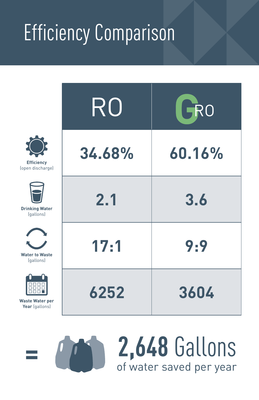# Efficiency Comparison

|                                          | RO     | GRO    |
|------------------------------------------|--------|--------|
| <b>Efficiency</b><br>(open discharge)    | 34.68% | 60.16% |
| <b>Drinking Water</b><br>(gallons)       | 2.1    | 3.6    |
| <b>Water to Waste</b><br>(gallons)       | 17:1   | 9:9    |
| <b>Waste Water per</b><br>Year (gallons) | 6252   | 3604   |

of water saved per year **= 2,648** Gallons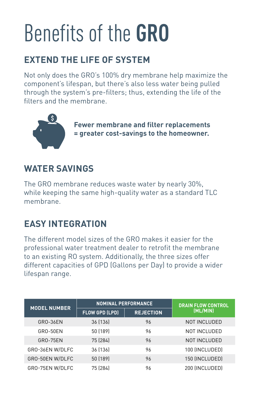## Benefits of the **GRO**

### **EXTEND THE LIFE OF SYSTEM**

Not only does the GRO's 100% dry membrane help maximize the component's lifespan, but there's also less water being pulled through the system's pre-filters; thus, extending the life of the filters and the membrane.



**Fewer membrane and filter replacements = greater cost-savings to the homeowner.** 

#### **WATER SAVINGS**

The GRO membrane reduces waste water by nearly 30%, while keeping the same high-quality water as a standard TLC membrane.

### **EASY INTEGRATION**

The different model sizes of the GRO makes it easier for the professional water treatment dealer to retrofit the membrane to an existing RO system. Additionally, the three sizes offer different capacities of GPD (Gallons per Day) to provide a wider lifespan range.

| <b>MODEL NUMBER</b> | <b>NOMINAL PERFORMANCE</b> |                  | <b>DRAIN FLOW CONTROL</b> |
|---------------------|----------------------------|------------------|---------------------------|
|                     | <b>FLOW GPD (LPD)</b>      | <b>REJECTION</b> | (ML/MIN)                  |
| GRO-36EN            | 36 (136)                   | 96               | NOT INCLUDED              |
| GRO-50EN            | 50 (189)                   | 96               | NOT INCLUDED              |
| <b>GRO-75EN</b>     | 75 (284)                   | 96               | NOT INCLUDED              |
| GRO-36EN W/DLFC     | 36 (136)                   | 96               | 100 (INCLUDED)            |
| GRO-50EN W/DLFC     | 50 (189)                   | 96               | 150 (INCLUDED)            |
| GRO-75EN W/DLFC     | 75 (284)                   | 96               | 200 (INCLUDED)            |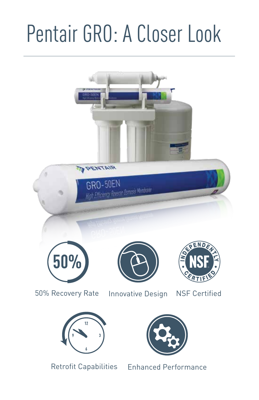# Pentair GRO: A Closer Look

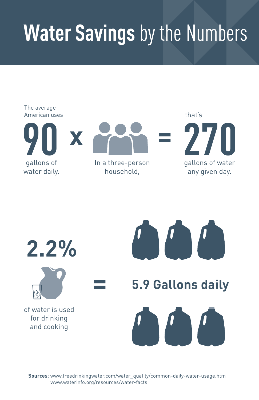## **Water Savings** by the Numbers





**Sources**: www.freedrinkingwater.com/water\_quality/common-daily-water-usage.htm www.waterinfo.org/resources/water-facts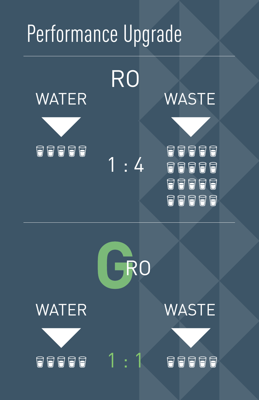## Performance Upgrade